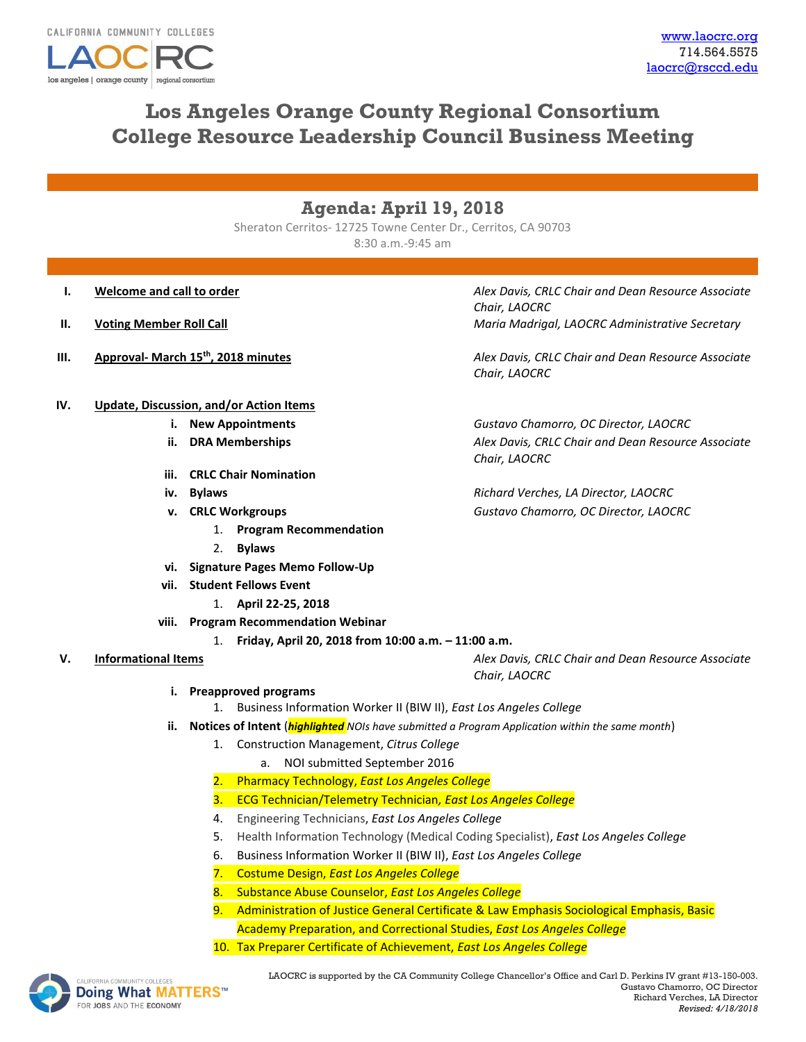

# **Los Angeles Orange County Regional Consortium College Resource Leadership Council Business Meeting**

## **Agenda: April 19, 2018**

Sheraton Cerritos- 12725 Towne Center Dr., Cerritos, CA 90703 8:30 a.m.-9:45 am

- 
- 
- 

#### **IV. Update, Discussion, and/or Action Items**

- 
- 
- **iii. CRLC Chair Nomination**
- 
- - 1. **Program Recommendation**
	- 2. **Bylaws**
- **vi. Signature Pages Memo Follow-Up**
- **vii. Student Fellows Event**
	- 1. **April 22-25, 2018**
- **viii. Program Recommendation Webinar** 
	- 1. **Friday, April 20, 2018 from 10:00 a.m. – 11:00 a.m.**

### **V. Informational Items** *Alex Davis, CRLC Chair and Dean Resource Associate*

- **i. Preapproved programs**
	- 1. Business Information Worker II (BIW II), *East Los Angeles College*
- **ii. Notices of Intent** (*highlighted NOIs have submitted a Program Application within the same month*)
	- 1. Construction Management, *Citrus College*
		- a. NOI submitted September 2016
	- 2. Pharmacy Technology, *East Los Angeles College*
	- 3. ECG Technician/Telemetry Technician*, East Los Angeles College*
	- 4. Engineering Technicians, *East Los Angeles College*
	- 5. Health Information Technology (Medical Coding Specialist), *East Los Angeles College*
	- 6. Business Information Worker II (BIW II), *East Los Angeles College*
	- 7. Costume Design, *East Los Angeles College*
	- 8. Substance Abuse Counselor, *East Los Angeles College*
	- 9. Administration of Justice General Certificate & Law Emphasis Sociological Emphasis, Basic Academy Preparation, and Correctional Studies, *East Los Angeles College*
	- 10. Tax Preparer Certificate of Achievement, *East Los Angeles College*



*Chair, LAOCRC*

**I. Welcome and call to order** *Alex Davis, CRLC Chair and Dean Resource Associate* **<b>***Alex Davis, CRLC Chair and Dean Resource Associate Chair, LAOCRC* **II. Voting Member Roll Call Maria Madrigal, LAOCRC Administrative Secretary** 

**III. Approval- March 15th, 2018 minutes** *Alex Davis, CRLC Chair and Dean Resource Associate Chair, LAOCRC*

> **i. New Appointments** *Gustavo Chamorro, OC Director, LAOCRC* **ii. DRA Memberships** *Alex Davis, CRLC Chair and Dean Resource Associate Chair, LAOCRC*

**iv. Bylaws** *Richard Verches, LA Director, LAOCRC* **v. CRLC Workgroups** *Gustavo Chamorro, OC Director, LAOCRC*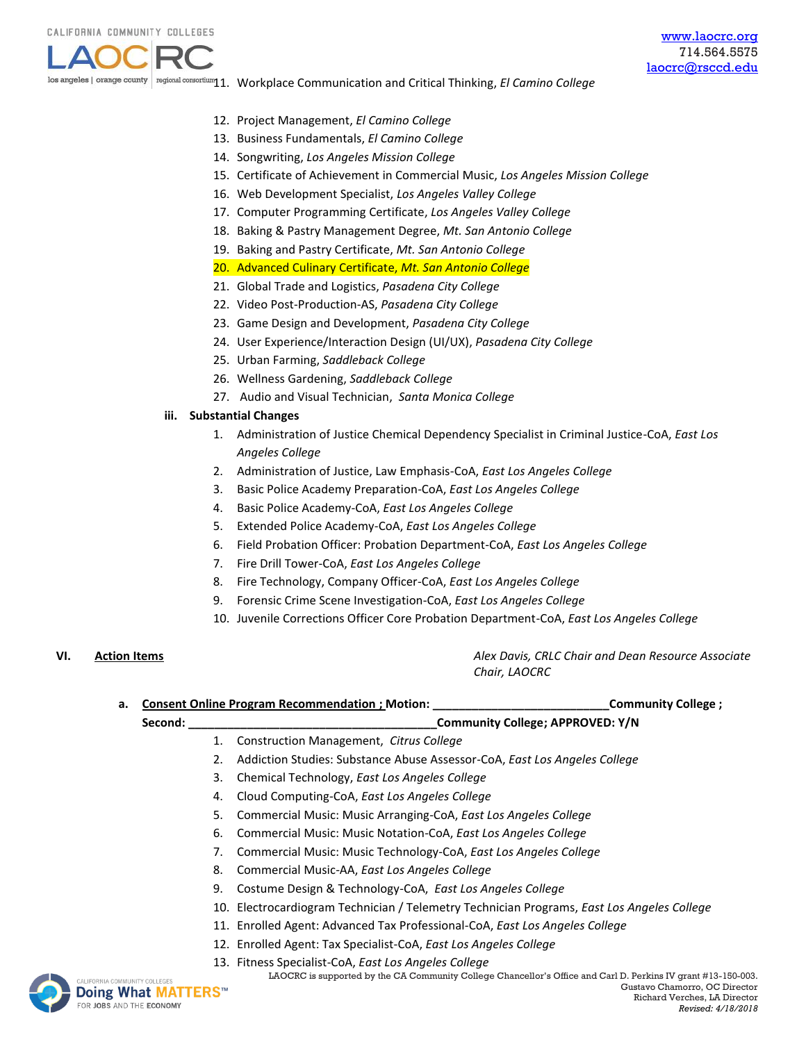los angeles | orange county | regional consortium**11. Workplace Communication and Critical Thinking***, El Camino College* 

- 12. Project Management, *El Camino College*
- 13. Business Fundamentals, *El Camino College*
- 14. Songwriting, *Los Angeles Mission College*
- 15. Certificate of Achievement in Commercial Music, *Los Angeles Mission College*
- 16. Web Development Specialist, *Los Angeles Valley College*
- 17. Computer Programming Certificate, *Los Angeles Valley College*
- 18. Baking & Pastry Management Degree, *Mt. San Antonio College*
- 19. Baking and Pastry Certificate, *Mt. San Antonio College*
- 20. Advanced Culinary Certificate, *Mt. San Antonio College*
- 21. Global Trade and Logistics, *Pasadena City College*
- 22. Video Post-Production-AS, *Pasadena City College*
- 23. Game Design and Development, *Pasadena City College*
- 24. User Experience/Interaction Design (UI/UX), *Pasadena City College*
- 25. Urban Farming, *Saddleback College*
- 26. Wellness Gardening, *Saddleback College*
- 27. Audio and Visual Technician, *Santa Monica College*

### **iii. Substantial Changes**

- 1. Administration of Justice Chemical Dependency Specialist in Criminal Justice-CoA, *East Los Angeles College*
- 2. Administration of Justice, Law Emphasis-CoA, *East Los Angeles College*
- 3. Basic Police Academy Preparation-CoA, *East Los Angeles College*
- 4. Basic Police Academy-CoA, *East Los Angeles College*
- 5. Extended Police Academy-CoA, *East Los Angeles College*
- 6. Field Probation Officer: Probation Department-CoA, *East Los Angeles College*
- 7. Fire Drill Tower-CoA, *East Los Angeles College*
- 8. Fire Technology, Company Officer-CoA, *East Los Angeles College*
- 9. Forensic Crime Scene Investigation-CoA, *East Los Angeles College*
- 10. Juvenile Corrections Officer Core Probation Department-CoA, *East Los Angeles College*

**VI. Action Items** *Alex Davis, CRLC Chair and Dean Resource Associate Chair, LAOCRC*

**a. Consent Online Program Recommendation ; Motion: \_\_\_\_\_\_\_\_\_\_\_\_\_\_\_\_\_\_\_\_\_\_\_\_\_\_\_Community College ; Second: \_\_\_\_\_\_\_\_\_\_\_\_\_\_\_\_\_\_\_\_\_\_\_\_\_\_\_\_\_\_\_\_\_\_\_\_\_\_Community College; APPROVED: Y/N** 1. Construction Management, *Citrus College*  2. Addiction Studies: Substance Abuse Assessor-CoA, *East Los Angeles College*  3. Chemical Technology, *East Los Angeles College*  4. Cloud Computing-CoA, *East Los Angeles College*  5. Commercial Music: Music Arranging-CoA, *East Los Angeles College* 

- 6. Commercial Music: Music Notation-CoA, *East Los Angeles College*
- 7. Commercial Music: Music Technology-CoA, *East Los Angeles College*
- 8. Commercial Music-AA, *East Los Angeles College*
- 9. Costume Design & Technology-CoA, *East Los Angeles College*
- 10. Electrocardiogram Technician / Telemetry Technician Programs, *East Los Angeles College*
- 11. Enrolled Agent: Advanced Tax Professional-CoA, *East Los Angeles College*
- 12. Enrolled Agent: Tax Specialist-CoA, *East Los Angeles College*
- [13.](http://www.doingwhatmatters.cccco.edu/) Fitness Specialist-CoA, *East Los Angeles College*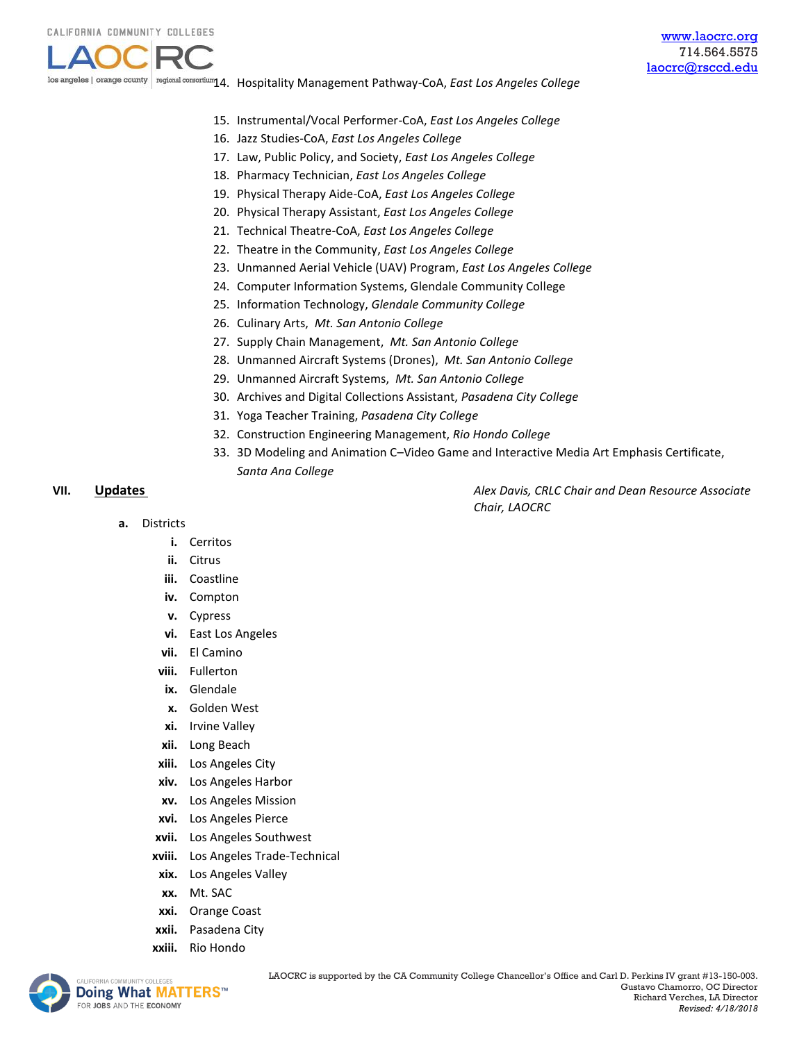

los angeles | orange county 14. Hospitality Management Pathway-CoA, *East Los Angeles College*

- 15. Instrumental/Vocal Performer-CoA, *East Los Angeles College*
- 16. Jazz Studies-CoA, *East Los Angeles College*
- 17. Law, Public Policy, and Society, *East Los Angeles College*
- 18. Pharmacy Technician, *East Los Angeles College*
- 19. Physical Therapy Aide-CoA, *East Los Angeles College*
- 20. Physical Therapy Assistant, *East Los Angeles College*
- 21. Technical Theatre-CoA, *East Los Angeles College*
- 22. Theatre in the Community, *East Los Angeles College*
- 23. Unmanned Aerial Vehicle (UAV) Program, *East Los Angeles College*
- 24. Computer Information Systems, Glendale Community College
- 25. Information Technology, *Glendale Community College*
- 26. Culinary Arts, *Mt. San Antonio College*
- 27. Supply Chain Management, *Mt. San Antonio College*
- 28. Unmanned Aircraft Systems (Drones), *Mt. San Antonio College*
- 29. Unmanned Aircraft Systems, *Mt. San Antonio College*
- 30. Archives and Digital Collections Assistant, *Pasadena City College*
- 31. Yoga Teacher Training, *Pasadena City College*
- 32. Construction Engineering Management, *Rio Hondo College*
- 33. 3D Modeling and Animation C–Video Game and Interactive Media Art Emphasis Certificate, *Santa Ana College*

**VII. Updates** *Alex Davis, CRLC Chair and Dean Resource Associate Chair, LAOCRC*

- **a.** Districts
	- **i.** Cerritos
	- **ii.** Citrus
	- **iii.** Coastline
	- **iv.** Compton
	- **v.** Cypress
	- **vi.** East Los Angeles
	- **vii.** El Camino
	- **viii.** Fullerton
	- **ix.** Glendale
	- **x.** Golden West
	- **xi.** Irvine Valley
	- **xii.** Long Beach
	- **xiii.** Los Angeles City
	- **xiv.** Los Angeles Harbor
	- **xv.** Los Angeles Mission
	- **xvi.** Los Angeles Pierce
	- **xvii.** Los Angeles Southwest
	- **xviii.** Los Angeles Trade-Technical
	- **xix.** Los Angeles Valley
	- **xx.** Mt. SAC
	- **xxi.** Orange Coast
	- **xxii.** Pasadena City
	- **xxiii.** Rio Hondo